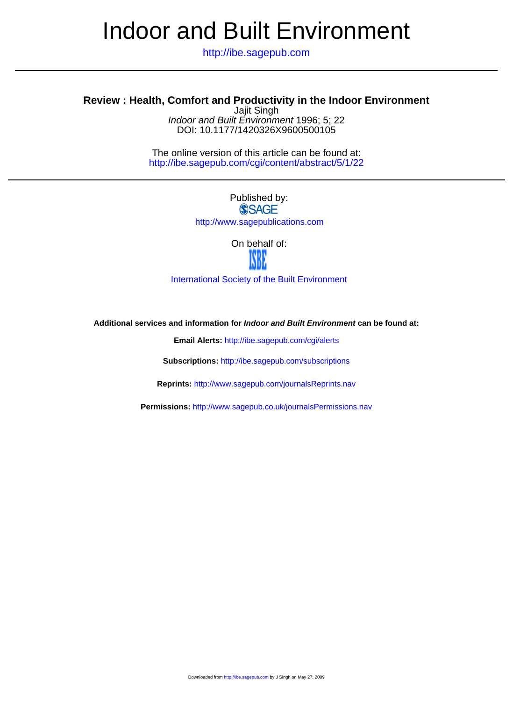# Indoor and Built Environment

http://ibe.sagepub.com

# **Review : Health, Comfort and Productivity in the Indoor Environment**

DOI: 10.1177/1420326X9600500105 Indoor and Built Environment 1996; 5; 22 Jajit Singh

http://ibe.sagepub.com/cgi/content/abstract/5/1/22 The online version of this article can be found at:

> Published by: **SSAGE** http://www.sagepublications.com

> > On behalf of:

ISBE

[International Society of the Built Environment](http://www.isbe.demon.co.uk)

**Additional services and information for Indoor and Built Environment can be found at:**

**Email Alerts:** <http://ibe.sagepub.com/cgi/alerts>

**Subscriptions:** <http://ibe.sagepub.com/subscriptions>

**Reprints:** <http://www.sagepub.com/journalsReprints.nav>

**Permissions:** <http://www.sagepub.co.uk/journalsPermissions.nav>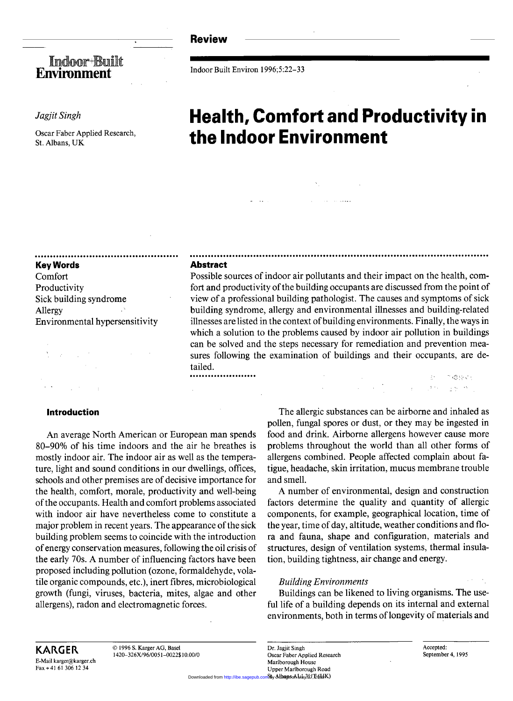# Indoor+Built **Environment**

#### Jagjit Singh

Oscar Faber Applied Research, St. Albans, UK

# Review

Indoor Built Environ 1996;5:22-33

# Health, Comfort and Productivity in the Indoor Environment

# Key Words

Comfort Productivity Sick building syndrome Allergy Environmental hypersensitivity

#### Introduction

An average North American or European man spends 80-90% of his time indoors and the air he breathes is mostly indoor air. The indoor air as well as the temperature, light and sound conditions in our dwellings, offices, schools and other premises are of decisive importance for the health, comfort, morale, productivity and well-being of the occupants. Health and comfort problems associated with indoor air have nevertheless come to constitute a major problem in recent years. The appearance of the sick building problem seems to coincide with the introduction of energy conservation measures, following the oil crisis of the early 70s. A number of influencing factors have been proposed including pollution (ozone, formaldehyde, volatile organic compounds, etc.), inert fibres, microbiological growth (fungi, viruses, bacteria, mites, algae and other allergens), radon and electromagnetic forces.

Possible sources of indoor air pollutants and their impact on the health, comfort and productivity of the building occupants are discussed from the point of view of a professional building pathologist. The causes and symptoms of sick building syndrome, allergy and environmental illnesses and building-related illnesses are listed in the context of building environments. Finally, the ways in which a solution to the problems caused by indoor air pollution in buildings can be solved and the steps necessary for remediation and prevention measures following the examination of buildings and their occupants, are detailed.

......................

**Abstract** 

 $2.8\%$  . neekt. الفقاح والتفقى الترو

The allergic substances can be airborne and inhaled as pollen, fungal spores or dust, or they may be ingested in food and drink. Airborne allergens however cause more problems throughout the world than all other forms of allergens combined. People affected complain about fatigue, headache, skin irritation, mucus membrane trouble and smell.

A number of environmental, design and construction factors determine the quality and quantity of allergic components, for example, geographical location, time of the year, time of day, altitude, weather conditions and flora and fauna, shape and configuration, materials and structures, design of ventilation systems, thermal insulation, building tightness, air change and energy.

### **Building Environments**

Buildings can be likened to living organisms. The useful life of a building depends on its internal and external environments, both in terms of longevity of materials and

**KARGER** E-Mail karger@karger.ch  $Fx + 41613061234$ 

© 1996 S. Karger AG, Basel 1420-326X/96/0051-0022\$10.00/0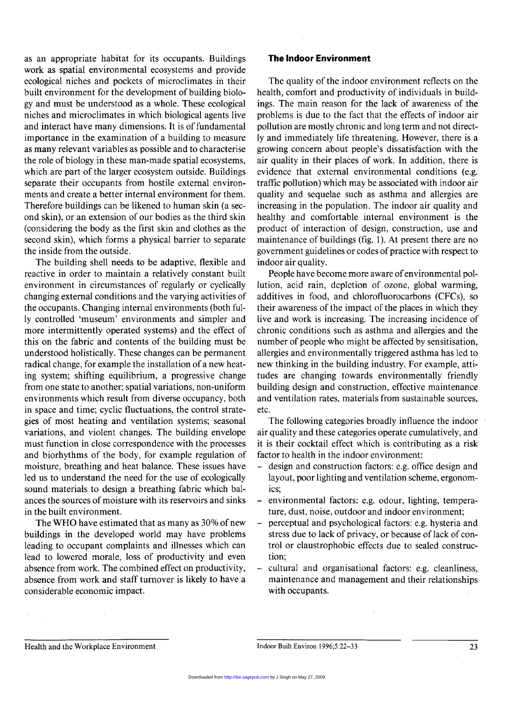as an appropriate habitat for its occupants. Buildings work as spatial environmental ecosystems and provide ecological niches and pockets of microclimates in their built environment for the development of building biology and must be understood as a whole. These ecological niches and microclimates in which biological agents live and interact have many dimensions. It is of fundamental importance in the examination of a building to measure as many relevant variables as possible and to characterise the role of biology in these man-made spatial ecosystems, which are part of the larger ecosystem outside. Buildings separate their occupants from hostile external environments and create a better internal environment for them. Therefore buildings can be likened to human skin (a second skin), or an extension of our bodies as the third skin (considering the body as the first skin and clothes as the second skin), which forms a physical barrier to separate the inside from the outside.

The building shell needs to be adaptive, flexible and reactive in order to maintain a relatively constant built environment in circumstances of regularly or cyclically changing external conditions and the varying activities of the occupants. Changing internal environments (both fully controlled 'museum' environments and simpler and more intermittently operated systems) and the effect of this on the fabric and contents of the building must be understood holistically. These changes can be permanent radical change, for example the installation of a new heating system; shifting equilibrium, a progressive change from one state to another; spatial variations, non-uniform environments which result from diverse occupancy, both in space and time; cyclic fluctuations, the control strategies of most heating and ventilation systems; seasonal variations, and violent changes. The building envelope must function in close correspondence with the processes and biorhythms of the body, for example regulation of moisture, breathing and heat balance. These issues have led us to understand the need for the use of ecologically sound materials to design a breathing fabric which balances the sources of moisture with its reservoirs and sinks in the built environment.

The WHO have estimated that as many as 30% of new buildings in the developed world may have problems leading to occupant complaints and illnesses which can lead to lowered morale, loss of productivity and even absence from work. The combined effect on productivity, absence from work and staff turnover is likely to have a considerable economic impact.

#### The Indoor Environment

The quality of the indoor environment reflects on the health, comfort and productivity of individuals in buildings. The main reason for the lack of awareness of the problems is due to the fact that the effects of indoor air pollution are mostly chronic and long term and not directly and immediately life threatening. However, there is a growing concern about people's dissatisfaction with the air quality in their places of work. In addition, there is evidence that external environmental conditions (e.g. traffic pollution) which may be associated with indoor air quality and sequelae such as asthma and allergies are increasing in the population. The indoor air quality and healthy and comfortable internal environment is the product of interaction of design, construction, use and maintenance of buildings (fig. 1). At present there are no government guidelines or codes of practice with respect to indoor air quality.

People have become more aware of environmental pollution, acid rain, depletion of ozone, global warming, additives in food, and chlorofluorocarbons (CFCs), so their awareness of the impact of the places in which they live and work is increasing. The increasing incidence of chronic conditions such as asthma and allergies and the number of people who might be affected by sensitisation, allergies and environmentally triggered asthma has led to new thinking in the building industry. For example, attitudes are changing towards environmentally friendly building design and construction, effective maintenance and ventilation rates, materials from sustainable sources, etc.

The following categories broadly influence the indoor air quality and these categories operate cumulatively, and it is their cocktail effect which is contributing as a risk factor to health in the indoor environment:

- design and construction factors: e.g. office design and layout, poor lighting and ventilation scheme, ergonomics;
- environmental factors: e.g. odour, lighting, temperature, dust, noise, outdoor and indoor environment;
- perceptual and psychological factors: e.g. hysteria and stress due to lack of privacy, or because of lack of control or claustrophobic effects due to sealed construction:
- cultural and organisational factors: e.g. cleanliness, maintenance and management and their relationships with occupants.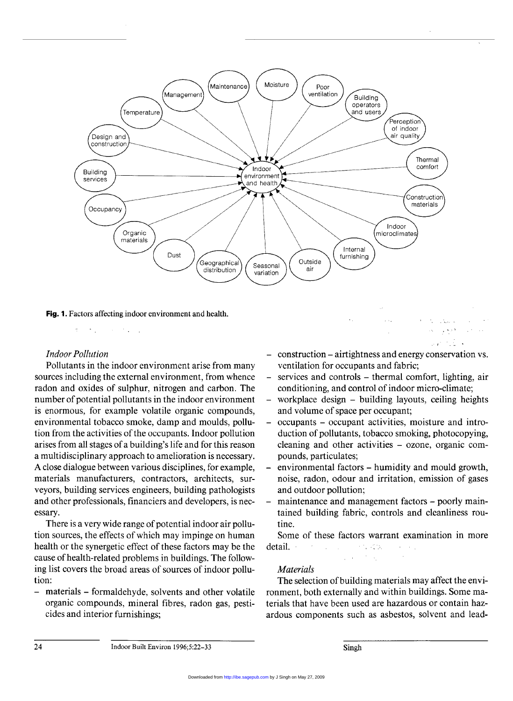

Fig. 1. Factors affecting indoor environment and health.

 $\sigma_{\rm eff}$  , where  $\sigma_{\rm eff}$  and  $\sigma_{\rm eff}$ 

# Indoor Pollution

Pollutants in the indoor environment arise from many sources including the external environment, from whence radon and oxides of sulphur, nitrogen and carbon. The number of potential pollutants in the indoor environment is enormous, for example volatile organic compounds, environmental tobacco smoke, damp and moulds, pollution from the activities of the occupants. Indoor pollution arises from all stages of a building's life and for this reason a multidisciplinary approach to amelioration is necessary. A close dialogue between various disciplines, for example, materials manufacturers, contractors, architects, surveyors, building services engineers, building pathologists and other professionals, financiers and developers, is necessary.

There is a very wide range of potential indoor air pollution sources, the effects of which may impinge on human health or the synergetic effect of these factors may be the cause of health-related problems in buildings. The following list covers the broad areas of sources of indoor pollution:

- materials - formaldehyde, solvents and other volatile organic compounds, mineral fibres, radon gas, pesticides and interior furnishings;

 $. . . . .$ - construction - airtightness and energy conservation vs. ventilation for occupants and fabric;

فرعاني

- services and controls thermal comfort, lighting, air conditioning, and control of indoor micro-climate;
- workplace design building layouts, ceiling heights and volume of space per occupant;
- occupants occupant activities, moisture and introduction of pollutants, tobacco smoking, photocopying, cleaning and other activities - ozone, organic compounds, particulates;
- environmental factors humidity and mould growth, noise, radon, odour and irritation, emission of gases and outdoor pollution;
- maintenance and management factors poorly maintained building fabric, controls and cleanliness routine.

Some of these factors warrant examination in more  $\textbf{detail.} \quad \begin{array}{ll} \textbf{d} & \textbf{t} \in \mathbb{R}^n, \\ \textbf{t} \in \mathbb{R}^n, \\ \textbf{t} \in \mathbb{R}^n, \\ \textbf{t} \in \mathbb{R}^n, \end{array}$ 

# **Materials**

The selection of building materials may affect the environment, both externally and within buildings. Some materials that have been used are hazardous or contain hazardous components such as asbestos, solvent and lead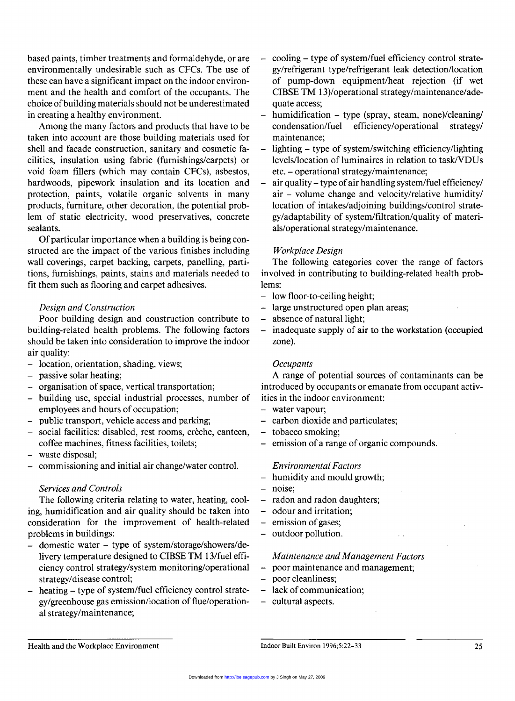based paints, timber treatments and formaldehyde, or are environmentally undesirable such as CFCs. The use of these can have a significant impact on the indoor environment and the health and comfort of the occupants. The choice of building materials should not be underestimated in creating a healthy environment.

Among the many factors and products that have to be taken into account are those building materials used for shell and facade construction, sanitary and cosmetic facilities, insulation using fabric (furnishings/carpets) or void foam fillers (which may contain CFCs), asbestos, hardwoods, pipework insulation and its location and protection, paints, volatile organic solvents in many products, furniture, other decoration, the potential problem of static electricity, wood preservatives, concrete sealants.

Of particular importance when a building is being constructed are the impact of the various finishes including wall coverings, carpet backing, carpets, panelling, partitions, furnishings, paints, stains and materials needed to fit them such as flooring and carpet adhesives.

# Design and Construction

Poor building design and construction contribute to building-related health problems. The following factors should be taken into consideration to improve the indoor air quality:

- location, orientation, shading, views;
- passive solar heating;
- organisation of space, vertical transportation;
- building use, special industrial processes, number of employees and hours of occupation;
- public transport, vehicle access and parking;
- social facilities: disabled, rest rooms, crèche, canteen, coffee machines, fitness facilities, toilets;
- waste disposal;
- commissioning and initial air change/water control.

### Services and Controls

The following criteria relating to water, heating, cooling, humidification and air quality should be taken into consideration for the improvement of health-related problems in buildings:

- domestic water type of system/storage/showers/delivery temperature designed to CIBSE TM 13/fuel efficiency control strategy/system monitoring/operational strategy/disease control;
- heating type of system/fuel efficiency control strategy/greenhouse gas emission/location of flue/operational strategy/maintenance;
- cooling type of system/fuel efficiency control strategy/refrigerant type/refrigerant leak detection/location of pump-down equipment/heat rejection (if wet CIBSE TM 13)/operational strategy/maintenance/adequate access;
- humidification type (spray, steam, none)/cleaning/ condensation/fuel efficiency/operational strategy/ maintenance;
- lighting type of system/switching efficiency/lighting levels/location of luminaires in relation to task/VDUs etc. - operational strategy/maintenance;
- air quality type of air handling system/fuel efficiency/ air - volume change and velocity/relative humidity/ location of intakes/adjoining buildings/control strategy/adaptability of system/filtration/quality of materials/operational strategy/maintenance.

# Workplace Design

The following categories cover the range of factors involved in contributing to building-related health problems:

- low floor-to-ceiling height;
- large unstructured open plan areas;
- absence of natural light;
- inadequate supply of air to the workstation (occupied zone).

# **Occupants**

A range of potential sources of contaminants can be introduced by occupants or emanate from occupant activities in the indoor environment:

- water vapour;
- carbon dioxide and particulates;
- tobacco smoking;
- emission of a range of organic compounds.

# Environmental Factors

- humidity and mould growth;
- noise;
- radon and radon daughters;
- odour and irritation;
- emission of gases;
- outdoor pollution.

### Maintenance and Management Factors

- poor maintenance and management;
- poor cleanliness;
- lack of communication;
- cultural aspects.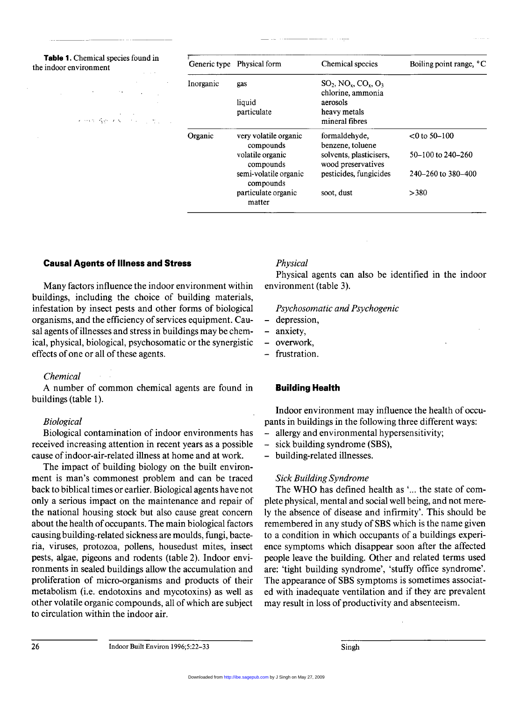Table 1. Chemical species found in the indoor environment

| $\mathcal{L}^{\mathcal{L}}$ and $\mathcal{L}^{\mathcal{L}}$ are the following the following function $\mathcal{L}^{\mathcal{L}}$<br>$\mathcal{L}(\mathcal{L}^{\mathcal{L}})$ and $\mathcal{L}^{\mathcal{L}}$ are the set of the set of $\mathcal{L}^{\mathcal{L}}$<br>ਰ ਅੱਧ ਸ਼ੁੱਖ ਕਿੱਥੇ ਹਨ।<br>ਗਿਆਸ ਸ਼ੁੱਖ ਕਿੱਥੇ ਹਨ। ਹੁੰਦਾ ਹਨ। |  | $\mathcal{L}^{\mathcal{L}}(\mathcal{L}^{\mathcal{L}})$ . The contribution of $\mathcal{L}^{\mathcal{L}}(\mathcal{L}^{\mathcal{L}})$ |
|-------------------------------------------------------------------------------------------------------------------------------------------------------------------------------------------------------------------------------------------------------------------------------------------------------------------------------|--|-------------------------------------------------------------------------------------------------------------------------------------|
|                                                                                                                                                                                                                                                                                                                               |  |                                                                                                                                     |
|                                                                                                                                                                                                                                                                                                                               |  |                                                                                                                                     |
|                                                                                                                                                                                                                                                                                                                               |  |                                                                                                                                     |

| Generic type | Physical form                      | Chemical species                                                                 | Boiling point range, °C   |  |  |
|--------------|------------------------------------|----------------------------------------------------------------------------------|---------------------------|--|--|
| Inorganic    | gas                                | $SO_2$ , NO <sub>x</sub> , CO <sub>x</sub> , O <sub>3</sub><br>chlorine, ammonia |                           |  |  |
|              | liquid                             | aerosols                                                                         |                           |  |  |
|              | particulate                        | heavy metals<br>mineral fibres                                                   |                           |  |  |
| Organic      | very volatile organic<br>compounds | formaldehyde,<br>benzene, toluene                                                | $< 0$ to 50–100           |  |  |
|              | volatile organic<br>compounds      | solvents, plasticisers,<br>wood preservatives                                    | $50 - 100$ to $240 - 260$ |  |  |
|              | semi-volatile organic<br>compounds | pesticides, fungicides                                                           | 240-260 to 380-400        |  |  |
|              | particulate organic<br>matter      | soot, dust                                                                       | >380                      |  |  |

#### Causal Agents of Illness and Stress

Many factors influence the indoor environment within buildings, including the choice of building materials, infestation by insect pests and other forms of biological organisms, and the efficiency of services equipment. Causal agents of illnesses and stress in buildings may be chemical, physical, biological, psychosomatic or the synergistic effects of one or all of these agents.

#### Chemical

A number of common chemical agents are found in buildings (table 1).

#### Biological

Biological contamination of indoor environments has received increasing attention in recent years as a possible cause of indoor-air-related illness at home and at work.

The impact of building biology on the built environment is man's commonest problem and can be traced back to biblical times or earlier. Biological agents have not only a serious impact on the maintenance and repair of the national housing stock but also cause great concern about the health of occupants. The main biological factors causing building-related sickness are moulds, fungi, bacteria, viruses, protozoa, pollens, housedust mites, insect pests, algae, pigeons and rodents (table 2). Indoor environments in sealed buildings allow the accumulation and proliferation of micro-organisms and products of their metabolism (i.e. endotoxins and mycotoxins) as well as other volatile organic compounds, all of which are subject to circulation within the indoor air.

### Physical

Physical agents can also be identified in the indoor environment (table 3).

Psychosomatic and Psychogenic

- depression,
- anxiety,
- overwork.
- frustration.

#### Building Health

Indoor environment may influence the health of occupants in buildings in the following three different ways:

- allergy and environmental hypersensitivity;
- sick building syndrome (SBS),
- building-related illnesses.

#### Sick Building Syndrome

The WHO has defined health as '... the state of complete physical, mental and social well being, and not merely the absence of disease and infirmity'. This should be remembered in any study of SBS which is the name given to a condition in which occupants of a buildings experi ence symptoms which disappear soon after the affected people leave the building. Other and related terms used are: 'tight building syndrome', 'stuffy office syndrome'. The appearance of SBS symptoms is sometimes associated with inadequate ventilation and if they are prevalent may result in loss of productivity and absenteeism.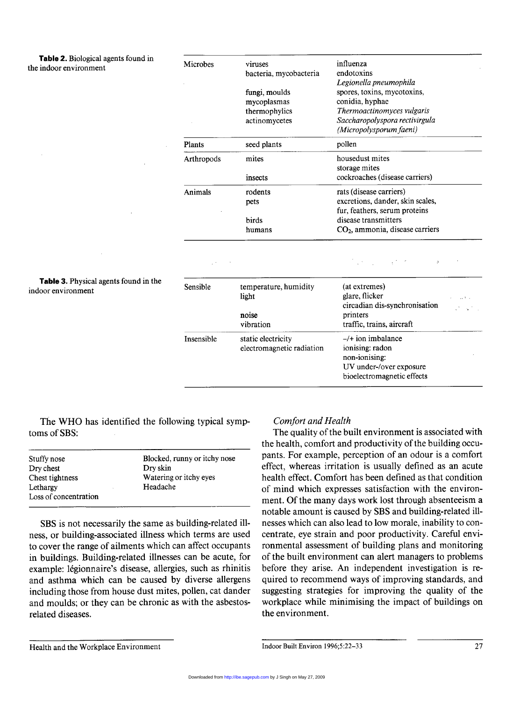#### Table 2. Biological agents found in the indoor environment

| Microbes   | viruses                | influenza                         |
|------------|------------------------|-----------------------------------|
|            | bacteria, mycobacteria | endotoxins                        |
|            |                        | Legionella pneumophila            |
|            | fungi, moulds          | spores, toxins, mycotoxins,       |
|            | mycoplasmas            | conidia, hyphae                   |
|            | thermophylics          | Thermoactinomyces vulgaris        |
|            | actinomycetes          | Saccharopolyspora rectivirgula    |
|            |                        | (Micropolysporum faeni)           |
| Plants     | seed plants            | pollen                            |
| Arthropods | mites                  | housedust mites                   |
|            |                        | storage mites                     |
|            | insects                | cockroaches (disease carriers)    |
| Animals    | rodents                | rats (disease carriers)           |
|            | pets                   | excretions, dander, skin scales,  |
|            |                        | fur, feathers, serum proteins     |
|            | birds                  | disease transmitters              |
|            | humans                 | $CO2$ , ammonia, disease carriers |

Table 3. Physical agents found in the indoor environment

| Sensible   | temperature, humidity<br>light                  | (at extremes)<br>glare, flicker<br>circadian dis-synchronisation                                                       | and the<br>ACT 1 |
|------------|-------------------------------------------------|------------------------------------------------------------------------------------------------------------------------|------------------|
|            | noise<br>vibration                              | printers<br>traffic, trains, aircraft                                                                                  |                  |
| Insensible | static electricity<br>electromagnetic radiation | $-\prime$ + ion imbalance<br>ionising: radon<br>non-ionising:<br>UV under-/over exposure<br>bioelectromagnetic effects |                  |

The WHO has identified the following typical symptoms of SBS:

| Stuffy nose           | Blocked, runny or itchy nose |
|-----------------------|------------------------------|
| Dry chest             | Dry skin                     |
| Chest tightness       | Watering or itchy eyes       |
| Lethargy              | Headache                     |
| Loss of concentration |                              |

SBS is not necessarily the same as building-related illness, or building-associated illness which terms are used to cover the range of ailments which can affect occupants in buildings. Building-related illnesses can be acute, for example: 16gionnaire's disease, allergies, such as rhinitis and asthma which can be caused by diverse allergens including those from house dust mites, pollen, cat dander and moulds; or they can be chronic as with the asbestosrelated diseases.

#### Comfort and Health

The quality of the built environment is associated with the health, comfort and productivity of the building occupants. For example, perception of an odour is a comfort effect, whereas irritation is usually defined as an acute health effect. Comfort has been defined as that condition of mind which expresses satisfaction with the environment. Of the many days work lost through absenteeism a notable amount is caused by SBS and building-related illnesses which can also lead to low morale, inability to concentrate, eye strain and poor productivity. Careful environmental assessment of building plans and monitoring of the built environment can alert managers to problems before they arise. An independent investigation is required to recommend ways of improving standards, and suggesting strategies for improving the quality of the workplace while minimising the impact of buildings on the environment.

Health and the Workplace Environment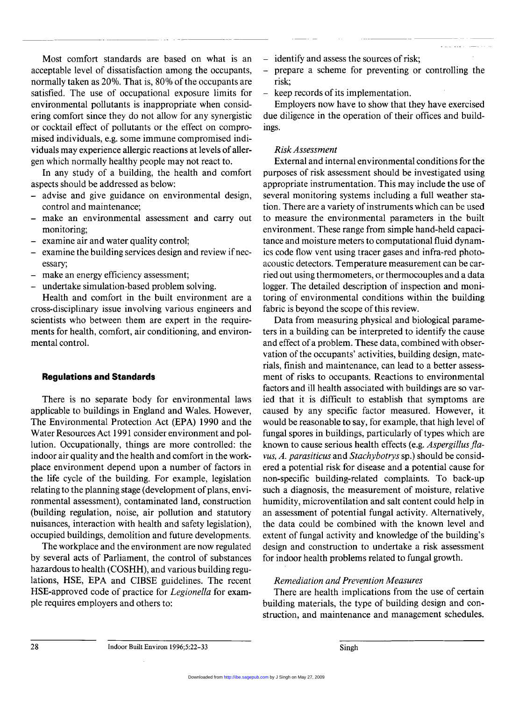Most comfort standards are based on what is an acceptable level of dissatisfaction among the occupants, normally taken as 20%. That is, 80% of the occupants are satisfied. The use of occupational exposure limits for environmental pollutants is inappropriate when considering comfort since they do not allow for any synergistic or cocktail effect of pollutants or the effect on compromised individuals, e.g. some immune compromised individuals may experience allergic reactions at levels of allergen which normally healthy people may not react to.

In any study of a building, the health and comfort aspects should be addressed as below:

- advise and give guidance on environmental design, control and maintenance;
- make an environmental assessment and carry out monitoring;
- examine air and water quality control;
- examine the building services design and review if necessary;
- make an energy efficiency assessment;
- undertake simulation-based problem solving.

Health and comfort in the built environment are a cross-disciplinary issue involving various engineers and scientists who between them are expert in the requirements for health, comfort, air conditioning, and environmental control.

#### Regulations and Standards

There is no separate body for environmental laws applicable to buildings in England and Wales. However, The Environmental Protection Act (EPA) 1990 and the Water Resources Act 1991 consider environment and pollution. Occupationally, things are more controlled: the indoor air quality and the health and comfort in the workplace environment depend upon a number of factors in the life cycle of the building. For example, legislation relating to the planning stage (development of plans, environmental assessment), contaminated land, construction (building regulation, noise, air pollution and statutory nuisances, interaction with health and safety legislation), occupied buildings, demolition and future developments.

The workplace and the environment are now regulated by several acts of Parliament, the control of substances hazardous to health (COSHH), and various building regulations, HSE, EPA and CIBSE guidelines. The recent HSE-approved code of practice for Legionella for example requires employers and others to:

- identify and assess the sources of risk;
- prepare a scheme for preventing or controlling the risk;
- keep records of its implementation.

Employers now have to show that they have exercised due diligence in the operation of their offices and buildings.

#### Risk Assessment

External and internal environmental conditions for the purposes of risk assessment should be investigated using appropriate instrumentation. This may include the use of several monitoring systems including a full weather station. There are a variety of instruments which can be used to measure the environmental parameters in the built environment. These range from simple hand-held capacitance and moisture meters to computational fluid dynamics code flow vent using tracer gases and infra-red photoacoustic detectors. Temperature measurement can be carried out using thermometers, or thermocouples and a data logger. The detailed description of inspection and monitoring of environmental conditions within the building fabric is beyond the scope of this review.

Data from measuring physical and biological parameters in a building can be interpreted to identify the cause and effect of a problem. These data, combined with observation of the occupants' activities, building design, materials, finish and maintenance, can lead to a better assessment of risks to occupants. Reactions to environmental factors and ill health associated with buildings are so varied that it is difficult to establish that symptoms are caused by any specific factor measured. However, it would be reasonable to say, for example, that high level of fungal spores in buildings, particularly of types which are known to cause serious health effects (e.g. Aspergillus flavus, A. parasiticus and Stachybotrys sp.) should be considered a potential risk for disease and a potential cause for non-specific building-related complaints. To back-up such a diagnosis, the measurement of moisture, relative humidity, microventilation and salt content could help in an assessment of potential fungal activity. Alternatively, the data could be combined with the known level and extent of fungal activity and knowledge of the building's design and construction to undertake a risk assessment for indoor health problems related to fungal growth.

#### Remediation and Prevention Measures

There are health implications from the use of certain building materials, the type of building design and construction, and maintenance and management schedules.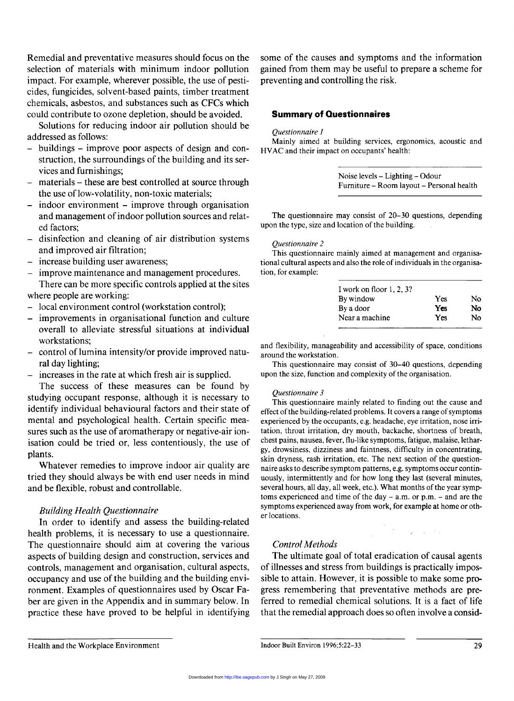Remedial and preventative measures should focus on the selection of materials with minimum indoor pollution impact. For example, wherever possible, the use of pesticides, fungicides, solvent-based paints, timber treatment chemicals, asbestos, and substances such as CFCs which could contribute to ozone depletion, should be avoided.

Solutions for reducing indoor air pollution should be addressed as follows:

- buildings improve poor aspects of design and construction, the surroundings of the building and its services and furnishings;
- materials these are best controlled at source through the use of low-volatility, non-toxic materials;
- indoor environment improve through organisation and management of indoor pollution sources and related factors;
- disinfection and cleaning of air distribution systems and improved air filtration;
- increase building user awareness;
- improve maintenance and management procedures.

There can be more specific controls applied at the sites where people are working:

- local environment control (workstation control);
- improvements in organisational function and culture overall to alleviate stressful situations at individual workstations;
- control of lumina intensity/or provide improved natural day lighting;
- increases in the rate at which fresh air is supplied.

The success of these measures can be found by studying occupant response, although it is necessary to identify individual behavioural factors and their state of mental and psychological health. Certain specific measures such as the use of aromatherapy or negative-air ionisation could be tried or, less contentiously, the use of plants.

Whatever remedies to improve indoor air quality are tried they should always be with end user needs in mind and be flexible, robust and controllable.

### Building Health Questionnaire

In order to identify and assess the building-related health problems, it is necessary to use a questionnaire. The questionnaire should aim at covering the various aspects of building design and construction, services and controls, management and organisation, cultural aspects, occupancy and use of the building and the building environment. Examples of questionnaires used by Oscar Faber are given in the Appendix and in summary below. In practice these have proved to be helpful in identifying some of the causes and symptoms and the information gained from them may be useful to prepare a scheme for preventing and controlling the risk.

#### Summary of Questionnaires .

#### Questionnaire 1

Mainly aimed at building services, ergonomics, acoustic and HVAC and their impact on occupants' health:

> Noise levels – Lighting – Odour Furniture - Room layout - Personal health

The questionnaire may consist of 20-30 questions, depending upon the type, size and location of the building.

#### Questionnaire 2

This questionnaire mainly aimed at management and organisational cultural aspects and also the role of individuals in the organisation, for example:

| I work on floor $1, 2, 3$ ? |     |    |
|-----------------------------|-----|----|
| By window                   | Yes | No |
| By a door                   | Yes | No |
| Near a machine              | Yes | No |
|                             |     |    |

 $\sim 10^{-10}$  k

and flexibility, manageability and accessibility of space, conditions around the workstation.

This questionnaire may consist of 30-40 questions, depending upon the size, function and complexity of the organisation.

#### Questionnaire 3

This questionnaire mainly related to finding out the cause and effect of the building-related problems. It covers a range of symptoms experienced by the occupants, e.g. headache, eye irritation, nose irritation, throat irritation, dry mouth, backache, shortness of breath, chest pains, nausea, fever, flu-like symptoms, fatigue, malaise, lethargy, drowsiness, dizziness and faintness, difficulty in concentrating, skin dryness, rash irritation, etc. The next section of the questionnaire asks to describe symptom patterns, e.g. symptoms occur continuously, intermittently and for how long they last (several minutes, several hours, all day, all week, etc.). What months of the year symptoms experienced and time of the day - a.m. or p.m. - and are the symptoms experienced away from work, for example at home or other locations.

### Control Methods

The ultimate goal of total eradication of causal agents of illnesses and stress from buildings is practically impossible to attain. However, it is possible to make some progress remembering that preventative methods are preferred to remedial chemical solutions. It is a fact of life that the remedial approach does so often involve a consid-

Health and the Workplace Environment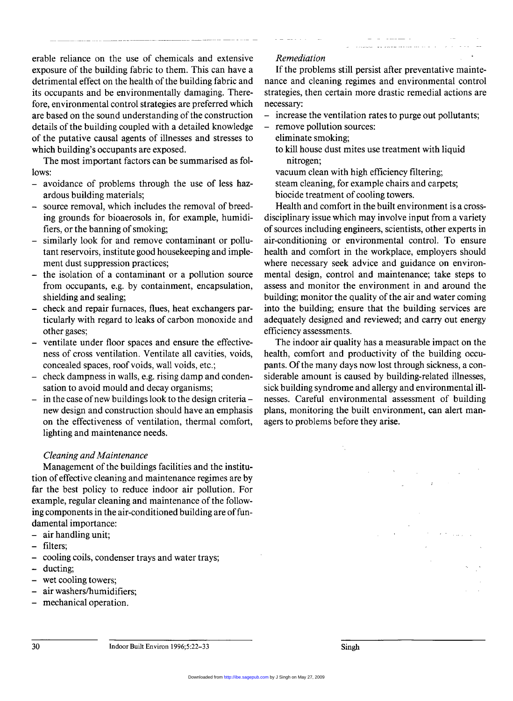erable reliance on the use of chemicals and extensive exposure of the building fabric to them. This can have a detrimental effect on the health of the building fabric and its occupants and be environmentally damaging. Therefore, environmental control strategies are preferred which are based on the sound understanding of the construction details of the building coupled with a detailed knowledge of the putative causal agents of illnesses and stresses to which building's occupants are exposed.

The most important factors can be summarised as follows:

- avoidance of problems through the use of less hazardous building materials;
- source removal, which includes the removal of breeding grounds for bioaerosols in, for example, humidifiers, or the banning of smoking;
- similarly look for and remove contaminant or pollutant reservoirs, institute good housekeeping and implement dust suppression practices;
- the isolation of a contaminant or a pollution source from occupants, e.g. by containment, encapsulation, shielding and sealing;
- check and repair furnaces, flues, heat exchangers particularly with regard to leaks of carbon monoxide and other gases;
- ventilate under floor spaces and ensure the effectiveness of cross ventilation. Ventilate all cavities, voids, concealed spaces, roof voids, wall voids, etc.;
- check dampness in walls, e.g. rising damp and condensation to avoid mould and decay organisms;
- in the case of new buildings look to the design criteria new design and construction should have an emphasis on the effectiveness of ventilation, thermal comfort, lighting and maintenance needs.

# Cleaning and Maintenance

Management of the buildings facilities and the institution of effective cleaning and maintenance regimes are by far the best policy to reduce indoor air pollution. For example, regular cleaning and maintenance of the following components in the air-conditioned building are of fundamental importance:

Indoor Built Environ 1996:5:22-33

- air handling unit;
- filters;
- cooling coils, condenser trays and water trays;
- ducting:
- wet cooling towers;
- air washers/humidifiers;
- mechanical operation.

# **Remediation**

If the problems still persist after preventative maintenance and cleaning regimes and environmental control strategies, then certain more drastic remedial actions are necessary:

- increase the ventilation rates to purge out pollutants;
- remove pollution sources:
	- eliminate smoking;
	- to kill house dust mites use treatment with liquid nitrogen;

vacuum clean with high efficiency filtering; steam cleaning, for example chairs and carpets; biocide treatment of cooling towers.

Health and comfort in the built environment is a crossdisciplinary issue which may involve input from a variety of sources including engineers, scientists, other experts in air-conditioning or environmental control. To ensure health and comfort in the workplace, employers should where necessary seek advice and guidance on environmental design, control and maintenance; take steps to assess and monitor the environment in and around the building; monitor the quality of the air and water coming into the building; ensure that the building services are adequately designed and reviewed; and carry out energy efficiency assessments.

The indoor air quality has a measurable impact on the health, comfort and productivity of the building occupants. Of the many days now lost through sickness, a considerable amount is caused by building-related illnesses, sick building syndrome and allergy and environmental illnesses. Careful environmental assessment of building plans, monitoring the built environment, can alert managers to problems before they arise.

Singh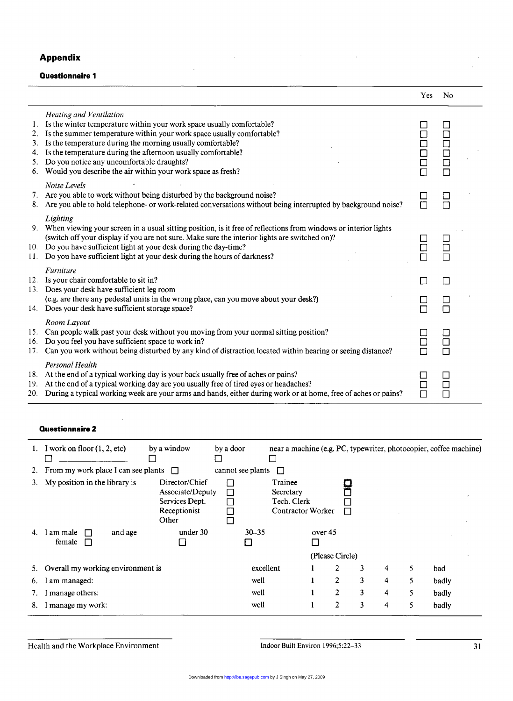# Appendix

### **Questionnaire 1**

|                                  |                                                                                                                                                                                                                                                                                                                                                                                                                            | <b>Yes</b> | N <sub>0</sub> |  |
|----------------------------------|----------------------------------------------------------------------------------------------------------------------------------------------------------------------------------------------------------------------------------------------------------------------------------------------------------------------------------------------------------------------------------------------------------------------------|------------|----------------|--|
| 1.<br>2.<br>3.<br>4.<br>5.<br>6. | <b>Heating and Ventilation</b><br>Is the winter temperature within your work space usually comfortable?<br>Is the summer temperature within your work space usually comfortable?<br>Is the temperature during the morning usually comfortable?<br>Is the temperature during the afternoon usually comfortable?<br>Do you notice any uncomfortable draughts?<br>Would you describe the air within your work space as fresh? | 00000      | popoc          |  |
|                                  | Noise Levels<br>7. Are you able to work without being disturbed by the background noise?<br>8. Are you able to hold telephone- or work-related conversations without being interrupted by background noise?                                                                                                                                                                                                                |            |                |  |
| 11.                              | Lighting<br>9. When viewing your screen in a usual sitting position, is it free of reflections from windows or interior lights<br>(switch off your display if you are not sure. Make sure the interior lights are switched on)?<br>10. Do you have sufficient light at your desk during the day-time?<br>Do you have sufficient light at your desk during the hours of darkness?                                           |            |                |  |
|                                  | Furniture<br>12. Is your chair comfortable to sit in?<br>13. Does your desk have sufficient leg room<br>(e.g. are there any pedestal units in the wrong place, can you move about your desk?)<br>14. Does your desk have sufficient storage space?                                                                                                                                                                         |            |                |  |
| 15.                              | Room Layout<br>Can people walk past your desk without you moving from your normal sitting position?<br>16. Do you feel you have sufficient space to work in?<br>17. Can you work without being disturbed by any kind of distraction located within hearing or seeing distance?                                                                                                                                             |            | $\Box$         |  |
| 19.                              | Personal Health<br>18. At the end of a typical working day is your back usually free of aches or pains?<br>At the end of a typical working day are you usually free of tired eyes or headaches?<br>20. During a typical working week are your arms and hands, either during work or at home, free of aches or pains?                                                                                                       |            | ō<br>$\Box$    |  |

 $\sim$ 

# **Questionnaire 2**

 $\bar{\gamma}$  $\bar{\mathcal{A}}$ 

|    | 1. I work on floor $(1, 2, etc)$    | by a window                                                                   | by a door         | near a machine (e.g. PC, typewriter, photocopier, coffee machine) |                 |   |   |    |       |  |
|----|-------------------------------------|-------------------------------------------------------------------------------|-------------------|-------------------------------------------------------------------|-----------------|---|---|----|-------|--|
| 2. | From my work place I can see plants | $\blacksquare$                                                                | cannot see plants | $\mathbf{I}$                                                      |                 |   |   |    |       |  |
| 3. | My position in the library is       | Director/Chief<br>Associate/Deputy<br>Services Dept.<br>Receptionist<br>Other |                   | Trainee<br>Secretary<br>Tech. Clerk<br>Contractor Worker          |                 |   |   |    |       |  |
| 4. | I am male<br>and age<br>female      | under 30                                                                      | $30 - 35$         |                                                                   | over 45         |   |   |    |       |  |
|    |                                     |                                                                               |                   |                                                                   | (Please Circle) |   |   |    |       |  |
| 5. | Overall my working environment is   |                                                                               |                   | excellent                                                         |                 | 3 | 4 | 5  | bad   |  |
| 6. | I am managed:                       |                                                                               | well              |                                                                   | 2               | 3 | 4 | 5. | badly |  |
|    | I manage others:                    |                                                                               | well              |                                                                   | $\overline{2}$  | 3 | 4 | 5  | badly |  |
| 8. | I manage my work:                   |                                                                               | well              |                                                                   | $\overline{2}$  | 3 | 4 |    | badly |  |
|    |                                     |                                                                               |                   |                                                                   |                 |   |   |    |       |  |

Health and the Workplace Environment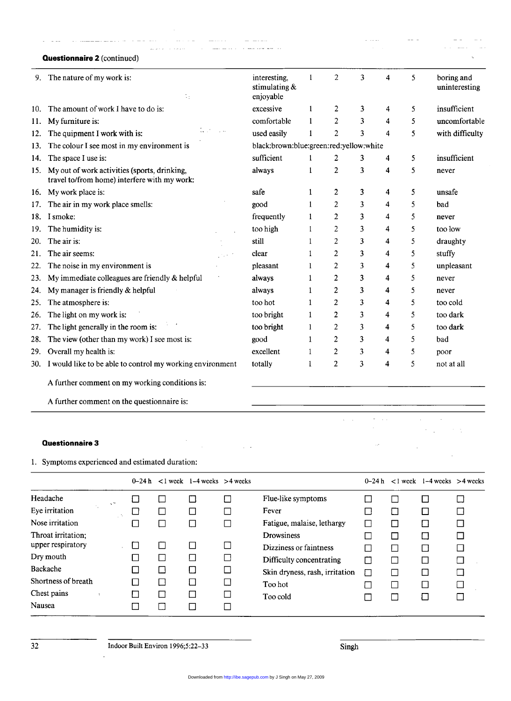# Questionnaire 2 (continued)

 $\omega_{\rm{c}}$  and  $\omega_{\rm{c}}$  and  $\omega_{\rm{c}}$ 

 $\sim 10^{11}$  and  $\sim 10^{11}$ 

<u>alan kulturan da</u>

والمستنقل والمستنقذ والمرادات

 $\sim$   $\sim$   $\sim$ 

L,

| 9.  | The nature of my work is:<br>V.                                                              | interesting,<br>stimulating $\&$<br>enjoyable | 1 | $\overline{2}$ | 3                       | 4 | 5 | boring and<br>uninteresting |
|-----|----------------------------------------------------------------------------------------------|-----------------------------------------------|---|----------------|-------------------------|---|---|-----------------------------|
| 10. | The amount of work I have to do is:                                                          | excessive                                     | 1 | 2              | 3                       | 4 | 5 | insufficient                |
| 11. | My furniture is:                                                                             | comfortable                                   | 1 | $\overline{2}$ | 3                       | 4 | 5 | uncomfortable               |
| 12. | $\mathbb{R}^N \times \mathbb{R}^N$ and<br>The quipment I work with is:                       | used easily                                   | 1 | $\overline{c}$ | 3                       | 4 | 5 | with difficulty             |
| 13. | The colour I see most in my environment is                                                   | black:brown:blue:green:red:yellow:white       |   |                |                         |   |   |                             |
| 14. | The space I use is:                                                                          | sufficient                                    |   | 2              | 3                       | 4 | 5 | insufficient                |
| 15. | My out of work activities (sports, drinking,<br>travel to/from home) interfere with my work: | always                                        |   | $\overline{2}$ | 3                       | 4 | 5 | never                       |
| 16. | My work place is:                                                                            | safe                                          |   | $\overline{2}$ | 3                       | 4 | 5 | unsafe                      |
| 17. | The air in my work place smells:                                                             | good                                          |   | $\overline{c}$ | 3                       | 4 | 5 | bad                         |
| 18. | I smoke:                                                                                     | frequently                                    | 1 | $\overline{2}$ | 3                       | 4 | 5 | never                       |
| 19. | The humidity is:                                                                             | too high                                      |   | 2              | 3                       | 4 | 5 | too low                     |
| 20. | The air is:                                                                                  | still                                         |   | $\overline{c}$ | 3                       | 4 | 5 | draughty                    |
| 21. | The air seems:                                                                               | clear                                         |   | $\overline{c}$ | 3                       | 4 | 5 | stuffy                      |
| 22. | The noise in my environment is                                                               | pleasant                                      | 1 | 2              | 3                       | 4 | 5 | unpleasant                  |
| 23. | My immediate colleagues are friendly & helpful                                               | always                                        | 1 | $\overline{2}$ | 3                       | 4 | 5 | never                       |
| 24. | My manager is friendly & helpful                                                             | always                                        |   | 2              | 3                       | 4 | 5 | never                       |
| 25. | The atmosphere is:                                                                           | too hot                                       | 1 | 2              | 3                       | 4 | 5 | too cold                    |
| 26. | The light on my work is:                                                                     | too bright                                    | 1 | 2              | 3                       | 4 | 5 | too dark                    |
| 27. | The light generally in the room is:                                                          | too bright                                    | 1 | $\overline{c}$ | 3                       | 4 | 5 | too dark                    |
| 28. | The view (other than my work) I see most is:                                                 | good                                          | 1 | $\overline{c}$ | 3                       | 4 | 5 | bad                         |
| 29. | Overall my health is:                                                                        | excellent                                     |   | $\overline{c}$ | $\overline{\mathbf{3}}$ | 4 | 5 | poor                        |
| 30. | I would like to be able to control my working environment                                    | totally                                       |   | $\overline{2}$ | 3                       | 4 | 5 | not at all                  |
|     | A further comment on my working conditions is:                                               |                                               |   |                |                         |   |   |                             |

 $\begin{array}{lll} \textbf{1}_{\text{max}} & \textbf{1}_{\text{max}} & \textbf{1}_{\text{max}} & \textbf{1}_{\text{max}} & \textbf{1}_{\text{max}} \\ \textbf{1}_{\text{max}} & \textbf{1}_{\text{max}} & \textbf{1}_{\text{max}} & \textbf{1}_{\text{max}} & \textbf{1}_{\text{max}} \\ \textbf{1}_{\text{max}} & \textbf{1}_{\text{max}} & \textbf{1}_{\text{max}} & \textbf{1}_{\text{max}} & \textbf{1}_{\text{max}} \\ \textbf{1}_{\text{max}} & \textbf{1}_{\text{max}} & \textbf{1}_{\text$ 

and the set of  $\mathcal{O}(\mathcal{O})$  and show an extension

 $\hat{\tau}_\mathrm{c}$  is a similar field of

 $\mathcal{L}(\mathcal{L})$  and  $\mathcal{L}(\mathcal{L})$ 

 $\mathcal{F}(\mathcal{A})$  .

ù.

 $\sim$   $\sim$ 

A further comment on the questionnaire is:

### Questionnaire 3

1. Symptoms experienced and estimated duration:

 $\lambda$ 

|                      |            | $0 - 24 h$ | $\leq$ 1 week 1-4 weeks $>$ 4 weeks |        |                                | $0 - 24 h$ | $<$ 1 week | $1-4$ weeks $>4$ weeks |        |
|----------------------|------------|------------|-------------------------------------|--------|--------------------------------|------------|------------|------------------------|--------|
| Headache             | $\sqrt{2}$ |            |                                     |        | Flue-like symptoms             |            |            | L                      | Ш      |
| ÷.<br>Eye irritation | A.         | └          | $\Box$                              |        | Fever                          |            | С          |                        | □      |
| Nose irritation      |            |            | └                                   | $\Box$ | Fatigue, malaise, lethargy     |            | ⊏          | Г                      | $\Box$ |
| Throat irritation:   |            |            |                                     |        | <b>Drowsiness</b>              |            | Г          | ⊓                      | $\Box$ |
| upper respiratory    |            | $\Box$     | $\Box$                              | $\Box$ | Dizziness or faintness         |            | Г          | Г                      | П      |
| Dry mouth            |            |            | ப                                   | ⊔      | Difficulty concentrating       |            |            | ⊓                      | $\Box$ |
| Backache             |            |            |                                     | □      | Skin dryness, rash, irritation | П          | Τ          | 冖,                     | $\Box$ |
| Shortness of breath  |            |            | $\Box$                              | □      | Too hot                        |            |            | Г                      |        |
| Chest pains          |            |            | ┑                                   | $\Box$ | Too cold                       |            |            |                        |        |
| Nausea               |            |            | $\Box$                              | $\Box$ |                                |            |            |                        |        |

Indoor Built Environ 1996;5:22-33

 $\Delta \sim 10^5$ 

 $\sigma_{\rm{eff}}$  and  $\sigma_{\rm{eff}}$